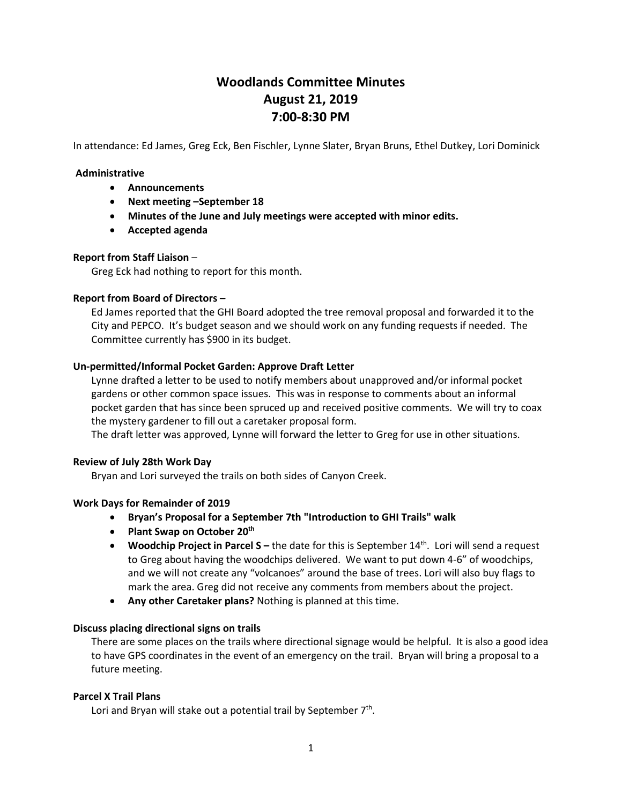# **Woodlands Committee Minutes August 21, 2019 7:00-8:30 PM**

In attendance: Ed James, Greg Eck, Ben Fischler, Lynne Slater, Bryan Bruns, Ethel Dutkey, Lori Dominick

#### **Administrative**

- **Announcements**
- **Next meeting –September 18**
- **Minutes of the June and July meetings were accepted with minor edits.**
- **Accepted agenda**

## **Report from Staff Liaison** –

Greg Eck had nothing to report for this month.

## **Report from Board of Directors –**

Ed James reported that the GHI Board adopted the tree removal proposal and forwarded it to the City and PEPCO. It's budget season and we should work on any funding requests if needed. The Committee currently has \$900 in its budget.

#### **Un-permitted/Informal Pocket Garden: Approve Draft Letter**

Lynne drafted a letter to be used to notify members about unapproved and/or informal pocket gardens or other common space issues. This was in response to comments about an informal pocket garden that has since been spruced up and received positive comments. We will try to coax the mystery gardener to fill out a caretaker proposal form.

The draft letter was approved, Lynne will forward the letter to Greg for use in other situations.

#### **Review of July 28th Work Day**

Bryan and Lori surveyed the trails on both sides of Canyon Creek.

## **Work Days for Remainder of 2019**

## • **Bryan's Proposal for a September 7th "Introduction to GHI Trails" walk**

- **Plant Swap on October 20th**
- **Woodchip Project in Parcel S –** the date for this is September 14th. Lori will send a request to Greg about having the woodchips delivered. We want to put down 4-6" of woodchips, and we will not create any "volcanoes" around the base of trees. Lori will also buy flags to mark the area. Greg did not receive any comments from members about the project.
- **Any other Caretaker plans?** Nothing is planned at this time.

#### **Discuss placing directional signs on trails**

There are some places on the trails where directional signage would be helpful. It is also a good idea to have GPS coordinates in the event of an emergency on the trail. Bryan will bring a proposal to a future meeting.

#### **Parcel X Trail Plans**

Lori and Bryan will stake out a potential trail by September  $7<sup>th</sup>$ .